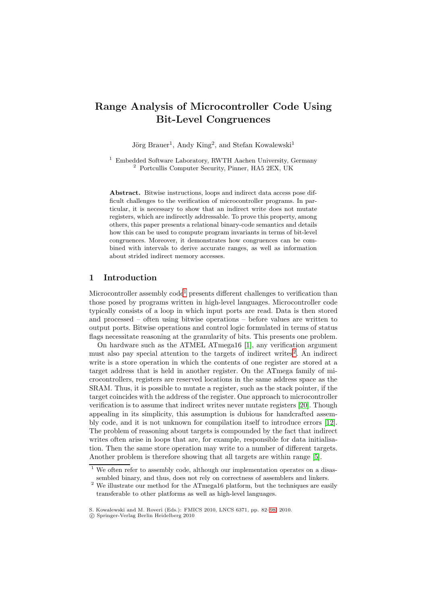# Range Analysis of Microcontroller Code Using Bit-Level Congruences

Jörg Brauer<sup>1</sup>, Andy King<sup>2</sup>, and Stefan Kowalewski<sup>1</sup>

<sup>1</sup> Embedded Software Laboratory, RWTH Aachen University, Germany <sup>2</sup> Portcullis Computer Security, Pinner, HA5 2EX, UK

Abstract. Bitwise instructions, loops and indirect data access pose difficult challenges to the verification of microcontroller programs. In particular, it is necessary to show that an indirect write does not mutate registers, which are indirectly addressable. To prove this property, among others, this paper presents a relational binary-code semantics and details how this can be used to compute program invariants in terms of bit-level congruences. Moreover, it demonstrates how congruences can be combined with intervals to derive accurate ranges, as well as information about strided indirect memory accesses.

## 1 Introduction

Microcontroller assembly  $\text{code}^1$  $\text{code}^1$  presents different challenges to verification than those posed by programs written in high-level languages. Microcontroller code typically consists of a loop in which input ports are read. Data is then stored and processed – often using bitwise operations – before values are written to output ports. Bitwise operations and control logic formulated in terms of status flags necessitate reasoning at the granularity of bits. This presents one problem.

On hardware such as the ATMEL ATmega16 [\[1\]](#page-15-0), any verification argument must also pay special attention to the targets of indirect writes<sup>[2](#page-0-1)</sup>. An indirect write is a store operation in which the contents of one register are stored at a target address that is held in another register. On the ATmega family of microcontrollers, registers are reserved locations in the same address space as the SRAM. Thus, it is possible to mutate a register, such as the stack pointer, if the target coincides with the address of the register. One approach to microcontroller verification is to assume that indirect writes never mutate registers [\[20\]](#page-16-0). Though appealing in its simplicity, this assumption is dubious for handcrafted assembly code, and it is not unknown for compilation itself to introduce errors [\[12\]](#page-15-1). The problem of reasoning about targets is compounded by the fact that indirect writes often arise in loops that are, for example, responsible for data initialisation. Then the same store operation may write to a number of different targets. Another problem is therefore showing that all targets are within range [\[5\]](#page-15-2).

We often refer to assembly code, although our implementation operates on a disassembled binary, and thus, does not rely on correctness of assemblers and linkers.

<span id="page-0-1"></span><span id="page-0-0"></span><sup>&</sup>lt;sup>2</sup> We illustrate our method for the ATmega16 platform, but the techniques are easily transferable to other platforms as well as high-level languages.

S. Kowalewski and M. Roveri (Eds.): FMICS 2010, LNCS 6371, pp. 82[–98,](#page-15-3) 2010.

<sup>!</sup>c Springer-Verlag Berlin Heidelberg 2010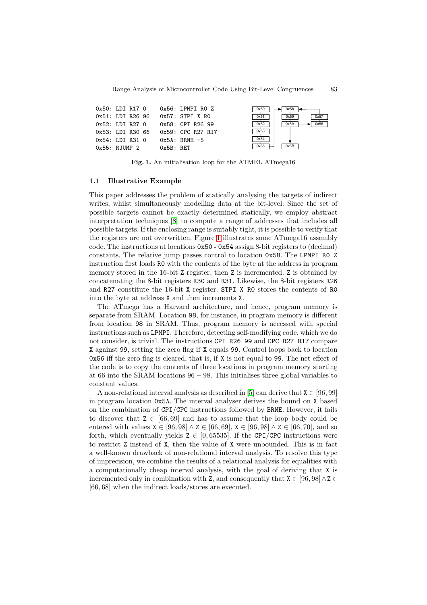| 0x50: LDI R17 0  |              | Ox56: LPMPI RO Z                   | 0x50 | 0x58         |
|------------------|--------------|------------------------------------|------|--------------|
| 0x51: LDI R26 96 |              | 0x57: STPI X RO                    | 0x51 | 0x57<br>0x59 |
| 0x52: LDI R27 0  |              | 0x58: CPI R26 99                   | 0x52 | 0x56<br>0x5A |
|                  |              | 0x53: LDI R30 66 0x59: CPC R27 R17 | 0x53 |              |
| 0x54: LDI R31 0  |              | $0x5A$ : BRNE -5                   | 0x54 |              |
| 0x55: RJUMP 2    | $0x5B$ : RET |                                    | 0x55 | 0x5B         |

<span id="page-1-0"></span>Fig. 1. An initialisation loop for the ATMEL ATmega16

#### 1.1 Illustrative Example

This paper addresses the problem of statically analysing the targets of indirect writes, whilst simultaneously modelling data at the bit-level. Since the set of possible targets cannot be exactly determined statically, we employ abstract interpretation techniques [\[8\]](#page-15-4) to compute a range of addresses that includes all possible targets. If the enclosing range is suitably tight, it is possible to verify that the registers are not overwritten. Figure [1](#page-1-0) illustrates some ATmega16 assembly code. The instructions at locations 0x50 - 0x54 assign 8-bit registers to (decimal) constants. The relative jump passes control to location 0x58. The LPMPI R0 Z instruction first loads R0 with the contents of the byte at the address in program memory stored in the 16-bit Z register, then Z is incremented. Z is obtained by concatenating the 8-bit registers R30 and R31. Likewise, the 8-bit registers R26 and R27 constitute the 16-bit X register. STPI X R0 stores the contents of R0 into the byte at address X and then increments X.

The ATmega has a Harvard architecture, and hence, program memory is separate from SRAM. Location 98, for instance, in program memory is different from location 98 in SRAM. Thus, program memory is accessed with special instructions such as LPMPI. Therefore, detecting self-modifying code, which we do not consider, is trivial. The instructions CPI R26 99 and CPC R27 R17 compare X against 99, setting the zero flag if X equals 99. Control loops back to location 0x56 iff the zero flag is cleared, that is, if X is not equal to 99. The net effect of the code is to copy the contents of three locations in program memory starting at 66 into the SRAM locations 96 − 98. This initialises three global variables to constant values.

A non-relational interval analysis as described in [\[5\]](#page-15-2) can derive that  $X \in [96, 99]$ in program location 0x5A. The interval analyser derives the bound on X based on the combination of CPI/CPC instructions followed by BRNE. However, it fails to discover that  $Z \in [66, 69]$  and has to assume that the loop body could be entered with values  $X \in [96, 98] \wedge Z \in [66, 69]$ ,  $X \in [96, 98] \wedge Z \in [66, 70]$ , and so forth, which eventually yields  $Z \in [0, 65535]$ . If the CPI/CPC instructions were to restrict Z instead of X, then the value of X were unbounded. This is in fact a well-known drawback of non-relational interval analysis. To resolve this type of imprecision, we combine the results of a relational analysis for equalities with a computationally cheap interval analysis, with the goal of deriving that X is incremented only in combination with Z, and consequently that  $X \in [96, 98] \land Z \in$ [66, 68] when the indirect loads/stores are executed.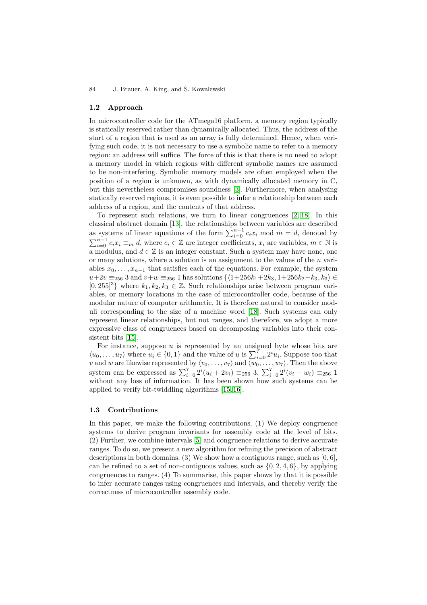#### 1.2 Approach

In microcontroller code for the ATmega16 platform, a memory region typically is statically reserved rather than dynamically allocated. Thus, the address of the start of a region that is used as an array is fully determined. Hence, when verifying such code, it is not necessary to use a symbolic name to refer to a memory region: an address will suffice. The force of this is that there is no need to adopt a memory model in which regions with different symbolic names are assumed to be non-interfering. Symbolic memory models are often employed when the position of a region is unknown, as with dynamically allocated memory in C, but this nevertheless compromises soundness [\[3\]](#page-15-5). Furthermore, when analysing statically reserved regions, it is even possible to infer a relationship between each address of a region, and the contents of that address.

To represent such relations, we turn to linear congruences [\[2,](#page-15-6) [18\]](#page-16-1). In this classical abstract domain [\[13\]](#page-15-7), the relationships between variables are described as systems of linear equations of the form  $\sum_{i=0}^{n-1} c_i x_i$  mod  $m = d$ , denoted by  $\sum_{i=0}^{n-1} c_i x_i \equiv_m d$ , where  $c_i \in \mathbb{Z}$  are integer coefficients,  $x_i$  are variables,  $m \in \mathbb{N}$  is a modulus, and  $d \in \mathbb{Z}$  is an integer constant. Such a system may have none, one or many solutions, where a solution is an assignment to the values of the  $n$  variables  $x_0, \ldots, x_{n-1}$  that satisfies each of the equations. For example, the system  $u+2v \equiv_{256} 3$  and  $v+w \equiv_{256} 1$  has solutions  $\{\langle 1+256k_1+2k_3, 1+256k_2-k_3, k_3 \rangle \in$  $[0, 255]^3$  where  $k_1, k_2, k_3 \in \mathbb{Z}$ . Such relationships arise between program variables, or memory locations in the case of microcontroller code, because of the modular nature of computer arithmetic. It is therefore natural to consider moduli corresponding to the size of a machine word [\[18\]](#page-16-1). Such systems can only represent linear relationships, but not ranges, and therefore, we adopt a more expressive class of congruences based on decomposing variables into their consistent bits [\[15\]](#page-15-8).

For instance, suppose  $u$  is represented by an unsigned byte whose bits are  $\langle u_0, \ldots, u_7 \rangle$  where  $u_i \in \{0, 1\}$  and the value of u is  $\sum_{i=0}^{7} 2^i u_i$ . Suppose too that v and w are likewise represented by  $\langle v_0,\ldots,v_7\rangle$  and  $\langle w_0,\ldots,w_7\rangle$ . Then the above system can be expressed as  $\sum_{i=0}^{7} 2^{i}(u_i + 2v_i) \equiv_{256} 3$ ,  $\sum_{i=0}^{7} 2^{i}(v_i + w_i) \equiv_{256} 1$ without any loss of information. It has been shown how such systems can be applied to verify bit-twiddling algorithms [\[15,](#page-15-8) [16\]](#page-15-9).

#### 1.3 Contributions

In this paper, we make the following contributions. (1) We deploy congruence systems to derive program invariants for assembly code at the level of bits. (2) Further, we combine intervals [\[5\]](#page-15-2) and congruence relations to derive accurate ranges. To do so, we present a new algorithm for refining the precision of abstract descriptions in both domains. (3) We show how a contiguous range, such as  $[0, 6]$ , can be refined to a set of non-contiguous values, such as  $\{0, 2, 4, 6\}$ , by applying congruences to ranges. (4) To summarise, this paper shows by that it is possible to infer accurate ranges using congruences and intervals, and thereby verify the correctness of microcontroller assembly code.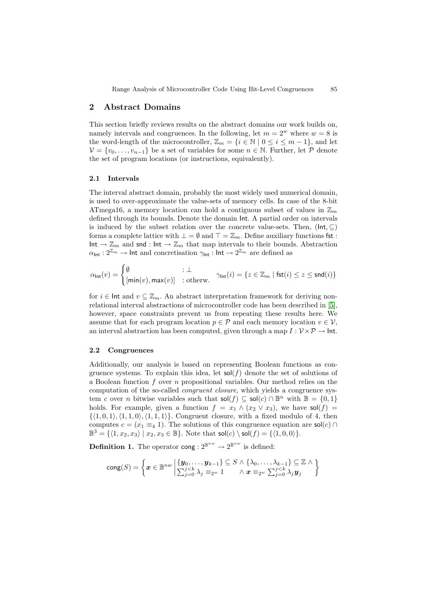# 2 Abstract Domains

This section briefly reviews results on the abstract domains our work builds on, namely intervals and congruences. In the following, let  $m = 2^w$  where  $w = 8$  is the word-length of the microcontroller,  $\mathbb{Z}_m = \{i \in \mathbb{N} \mid 0 \le i \le m-1\}$ , and let  $V = \{v_0, \ldots, v_{n-1}\}\$ be a set of variables for some  $n \in \mathbb{N}$ . Further, let P denote the set of program locations (or instructions, equivalently).

#### 2.1 Intervals

The interval abstract domain, probably the most widely used numerical domain, is used to over-approximate the value-sets of memory cells. In case of the 8-bit ATmega16, a memory location can hold a contiguous subset of values in  $\mathbb{Z}_m$ defined through its bounds. Denote the domain Int. A partial order on intervals is induced by the subset relation over the concrete value-sets. Then,  $(\mathsf{Int}, \subseteq)$ forms a complete lattice with  $\bot = \emptyset$  and  $\top = \mathbb{Z}_m$ . Define auxiliary functions fst :  $Int \to \mathbb{Z}_m$  and snd : Int  $\to \mathbb{Z}_m$  that map intervals to their bounds. Abstraction  $\alpha_{\text{Int}} : 2^{\mathbb{Z}_m} \to \text{Int}$  and concretisation  $\gamma_{\text{Int}} : \text{Int} \to 2^{\mathbb{Z}_m}$  are defined as

$$
\alpha_{\mathsf{Int}}(v) = \begin{cases} \emptyset & \colon \bot \\ \left[ \mathsf{min}(v), \mathsf{max}(v) \right] & \colon \mathsf{otherw}. \end{cases} \quad \gamma_{\mathsf{Int}}(i) = \{ z \in \mathbb{Z}_m \mid \mathsf{fst}(i) \leq z \leq \mathsf{snd}(i) \}
$$

for  $i \in \text{Int}$  and  $v \subseteq \mathbb{Z}_m$ . An abstract interpretation framework for deriving nonrelational interval abstractions of microcontroller code has been described in [\[5\]](#page-15-2), however, space constraints prevent us from repeating these results here. We assume that for each program location  $p \in \mathcal{P}$  and each memory location  $v \in \mathcal{V}$ , an interval abstraction has been computed, given through a map  $I: \mathcal{V} \times \mathcal{P} \to \mathsf{Int}.$ 

## 2.2 Congruences

Additionally, our analysis is based on representing Boolean functions as congruence systems. To explain this idea, let  $\mathsf{sol}(f)$  denote the set of solutions of a Boolean function  $f$  over  $n$  propositional variables. Our method relies on the computation of the so-called congruent closure, which yields a congruence system c over n bitwise variables such that  $\mathsf{sol}(f) \subseteq \mathsf{sol}(c) \cap \mathbb{B}^n$  with  $\mathbb{B} = \{0,1\}$ holds. For example, given a function  $f = x_1 \wedge (x_2 \vee x_3)$ , we have sol $(f)$  $\{\langle 1, 0, 1 \rangle, \langle 1, 1, 0 \rangle, \langle 1, 1, 1 \rangle\}.$  Congruent closure, with a fixed modulo of 4, then computes  $c = (x_1 \equiv_4 1)$ . The solutions of this congruence equation are sol(c) ∩  $\mathbb{B}^3 = \{ \langle 1, x_2, x_3 \rangle \mid x_2, x_3 \in \mathbb{B} \}.$  Note that  $\mathsf{sol}(c) \setminus \mathsf{sol}(f) = \{ \langle 1, 0, 0 \rangle \}.$ 

**Definition 1.** The operator cong :  $2^{\mathbb{B}^{nw}} \to 2^{\mathbb{B}^{nw}}$  is defined:

$$
\mathrm{cong}(S) = \left\{\boldsymbol{x} \in \mathbb{B}^{nw} \middle| \begin{matrix} \{\boldsymbol{y}_0, \dots, \boldsymbol{y}_{k-1}\} \subseteq S \land \{\lambda_0, \dots, \lambda_{k-1}\} \subseteq \mathbb{Z} \land \\ \sum_{j=0}^{j < k} \lambda_j \equiv_{2^w} 1 \quad \land \boldsymbol{x} \equiv_{2^w} \sum_{j=0}^{j < k} \lambda_j \boldsymbol{y}_j \end{matrix} \right\}
$$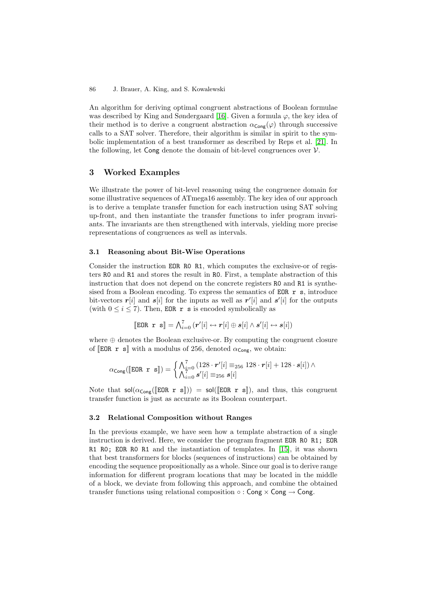An algorithm for deriving optimal congruent abstractions of Boolean formulae was described by King and Søndergaard [\[16\]](#page-15-9). Given a formula  $\varphi$ , the key idea of their method is to derive a congruent abstraction  $\alpha_{\text{Cong}}(\varphi)$  through successive calls to a SAT solver. Therefore, their algorithm is similar in spirit to the symbolic implementation of a best transformer as described by Reps et al. [\[21\]](#page-16-2). In the following, let Cong denote the domain of bit-level congruences over  $V$ .

# 3 Worked Examples

We illustrate the power of bit-level reasoning using the congruence domain for some illustrative sequences of ATmega16 assembly. The key idea of our approach is to derive a template transfer function for each instruction using SAT solving up-front, and then instantiate the transfer functions to infer program invariants. The invariants are then strengthened with intervals, yielding more precise representations of congruences as well as intervals.

## 3.1 Reasoning about Bit-Wise Operations

Consider the instruction EOR R0 R1, which computes the exclusive-or of registers R0 and R1 and stores the result in R0. First, a template abstraction of this instruction that does not depend on the concrete registers R0 and R1 is synthesised from a Boolean encoding. To express the semantics of EOR r s, introduce bit-vectors  $r[i]$  and  $s[i]$  for the inputs as well as  $r'[i]$  and  $s'[i]$  for the outputs (with  $0 \le i \le 7$ ). Then, EOR r s is encoded symbolically as

$$
\llbracket \text{EOR} \; \; \mathbf{r} \; \; \mathbf{s} \rrbracket = \bigwedge_{i=0}^{7} \left( \mathbf{r}'[i] \leftrightarrow \mathbf{r}[i] \oplus \mathbf{s}[i] \land \mathbf{s}'[i] \leftrightarrow \mathbf{s}[i] \right)
$$

where  $\oplus$  denotes the Boolean exclusive-or. By computing the congruent closure of **EOR r** s<sup> $\parallel$ </sup> with a modulus of 256, denoted  $\alpha_{\text{Cone}}$ , we obtain:

$$
\alpha_{\mathsf{Cong}}([\mathsf{EOR}\ \mathbf{r}\ \mathbf{s}]) = \begin{cases} \bigwedge_{i=0}^{7} (128\cdot \mathbf{r}'[i] \equiv_{256} 128\cdot \mathbf{r}[i] + 128\cdot \mathbf{s}[i]) \wedge \\ \bigwedge_{i=0}^{7} \mathbf{s}'[i] \equiv_{256} \mathbf{s}[i] \end{cases}
$$

Note that  $\text{sol}(\alpha_{\text{Cong}}(\mathbb{E} \text{OR } r \text{ s}))) = \text{sol}(\mathbb{E} \text{OR } r \text{ s}])$ , and thus, this congruent transfer function is just as accurate as its Boolean counterpart.

## 3.2 Relational Composition without Ranges

In the previous example, we have seen how a template abstraction of a single instruction is derived. Here, we consider the program fragment EOR R0 R1; EOR R1 R0; EOR R0 R1 and the instantiation of templates. In [\[15\]](#page-15-8), it was shown that best transformers for blocks (sequences of instructions) can be obtained by encoding the sequence propositionally as a whole. Since our goal is to derive range information for different program locations that may be located in the middle of a block, we deviate from following this approach, and combine the obtained transfer functions using relational composition  $\circ$ : Cong  $\times$  Cong  $\rightarrow$  Cong.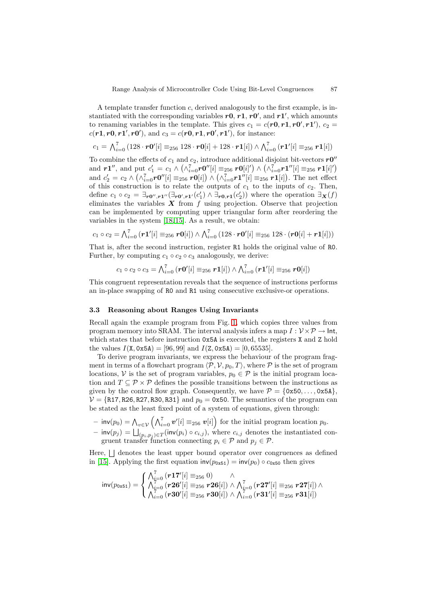A template transfer function c, derived analogously to the first example, is instantiated with the corresponding variables  $r0$ ,  $r1$ ,  $r0'$ , and  $r1'$ , which amounts to renaming variables in the template. This gives  $c_1 = c(\mathbf{r0}, \mathbf{r1}, \mathbf{r0}', \mathbf{r1}')$ ,  $c_2 =$  $c(r1, r0, r1', r0')$ , and  $c_3 = c(r0, r1, r0', r1')$ , for instance:

$$
c_1 = \bigwedge_{i=0}^{7} (128 \cdot r0'[i] \equiv_{256} 128 \cdot r0[i] + 128 \cdot r1[i]) \wedge \bigwedge_{i=0}^{7} (r1'[i] \equiv_{256} r1[i])
$$

To combine the effects of  $c_1$  and  $c_2$ , introduce additional disjoint bit-vectors  $r0''$ and  $r1''$ , and put  $c'_1 = c_1 \wedge (\wedge_{i=0}^7 r0''[i] \equiv_{256} r0[i]') \wedge (\wedge_{i=0}^7 r1''[i] \equiv_{256} r1[i]')$ and  $c_2' = c_2 \wedge (\wedge_{i=0}^7 r0''[i] \equiv_{256} r0[i]) \wedge (\wedge_{i=0}^7 r1''[i] \equiv_{256} r1[i])$ . The net effect of this construction is to relate the outputs of  $c_1$  to the inputs of  $c_2$ . Then, define  $c_1 \circ c_2 = \exists_{r0'',r1''} (\exists_{r0',r1'} (c'_1) \wedge \exists_{r0,r1} (c'_2))$  where the operation  $\exists_{\mathbf{X}}(f)$ eliminates the variables  $\boldsymbol{X}$  from f using projection. Observe that projection can be implemented by computing upper triangular form after reordering the variables in the system [\[18,](#page-16-1) [15\]](#page-15-8). As a result, we obtain:

$$
c_1 \circ c_2 = \bigwedge_{i=0}^{7} (r1'[i] \equiv_{256} r0[i]) \wedge \bigwedge_{i=0}^{7} (128 \cdot r0'[i] \equiv_{256} 128 \cdot (r0[i] + r1[i]))
$$

That is, after the second instruction, register R1 holds the original value of R0. Further, by computing  $c_1 \circ c_2 \circ c_3$  analogously, we derive:

 $c_1 \circ c_2 \circ c_3 = \bigwedge_{i=0}^{7} (r \mathbf{0}'[i] \equiv_{256} r \mathbf{1}[i]) \wedge \bigwedge_{i=0}^{7} (r \mathbf{1}'[i] \equiv_{256} r \mathbf{0}[i])$ 

This congruent representation reveals that the sequence of instructions performs an in-place swapping of R0 and R1 using consecutive exclusive-or operations.

## 3.3 Reasoning about Ranges Using Invariants

Recall again the example program from Fig. [1,](#page-1-0) which copies three values from program memory into SRAM. The interval analysis infers a map  $I: \mathcal{V} \times \mathcal{P} \to \mathsf{Int}$ , which states that before instruction  $0x5A$  is executed, the registers X and Z hold the values  $I(X, 0x5A) = [96, 99]$  and  $I(Z, 0x5A) = [0, 65535]$ .

To derive program invariants, we express the behaviour of the program fragment in terms of a flowchart program  $\langle \mathcal{P}, \mathcal{V}, p_0, T \rangle$ , where  $\mathcal{P}$  is the set of program locations, V is the set of program variables,  $p_0 \in \mathcal{P}$  is the initial program location and  $T \subseteq \mathcal{P} \times \mathcal{P}$  defines the possible transitions between the instructions as given by the control flow graph. Consequently, we have  $\mathcal{P} = \{0\text{x}50,\ldots,0\text{x}5A\}$ .  $V = \{R17, R26, R27, R30, R31\}$  and  $p_0 = 0x50$ . The semantics of the program can be stated as the least fixed point of a system of equations, given through:

 $-$  inv $(p_0) = \bigwedge_{v \in \mathcal{V}} (\bigwedge_{i=0}^7 v'[i] \equiv_{256} v[i])$  for the initial program location  $p_0$ .  $-$  inv $(p_j) = \bigsqcup_{(p_i, p_j) \in T} (\text{inv}(p_i) \circ c_{i,j}),$  where  $c_{i,j}$  denotes the instantiated congruent transfer function connecting  $p_i \in \mathcal{P}$  and  $p_j \in \mathcal{P}$ .

Here,  $\vert \vert$  denotes the least upper bound operator over congruences as defined in [\[15\]](#page-15-8). Applying the first equation  $inv(p_{0x51}) = inv(p_0) \circ c_{0x50}$  then gives

$$
\textsf{inv}(p_{\texttt{0x51}}) = \begin{cases} \bigwedge_{i=0}^{7} \left( \bm{r17}'[i] \equiv_{256} 0 \right) & \wedge \\ \bigwedge_{i=0}^{7} \left( \bm{r26}'[i] \equiv_{256} \bm{r26}[i] \right) & \wedge \bigwedge_{i=0}^{7} \left( \bm{r27}'[i] \equiv_{256} \bm{r27}[i] \right) \wedge \\ \bigwedge_{i=0}^{7} \left( \bm{r30}'[i] \equiv_{256} \bm{r30}[i] \right) & \wedge \bigwedge_{i=0}^{7} \left( \bm{r31}'[i] \equiv_{256} \bm{r31}[i] \right) \end{cases}
$$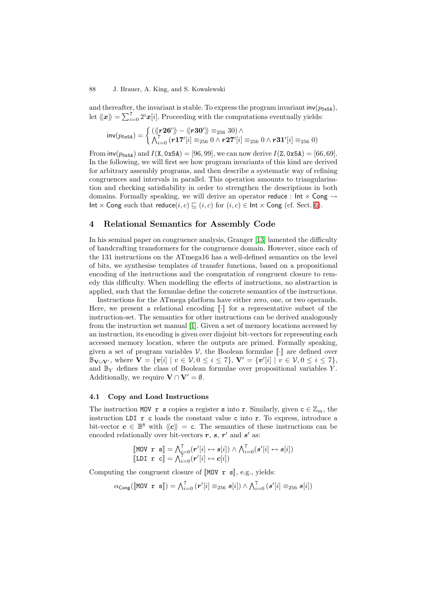and thereafter, the invariant is stable. To express the program invariant  $inv(p_{0x5A})$ , let  $\langle x \rangle = \sum_{i=0}^{7} 2^i x[i]$ . Proceeding with the computations eventually yields:

$$
\text{inv}(p_{\text{0x5A}}) = \begin{cases} (\langle\!\langle \mathbf{r26'}\rangle\!\rangle - \langle\!\langle \mathbf{r30'}\rangle\!\rangle \equiv_{256} 30) \land \\ \bigwedge_{i=0}^{7} (\mathbf{r17'}[i] \equiv_{256} 0 \land \mathbf{r27'}[i] \equiv_{256} 0 \land \mathbf{r31'}[i] \equiv_{256} 0) \end{cases}
$$

From  $inv(p_{0x5A})$  and  $I(X, 0x5A) = [96, 99]$ , we can now derive  $I(Z, 0x5A) = [66, 69]$ . In the following, we will first see how program invariants of this kind are derived for arbitrary assembly programs, and then describe a systematic way of refining congruences and intervals in parallel. This operation amounts to triangularisation and checking satisfiability in order to strengthen the descriptions in both domains. Formally speaking, we will derive an operator reduce :  $Int \times Cong \rightarrow$ Int  $\times$  Cong such that reduce(i, c)  $\sqsubseteq$  (i, c) for (i, c)  $\in$  Int  $\times$  Cong (cf. Sect. [6\)](#page-9-0).

# 4 Relational Semantics for Assembly Code

In his seminal paper on congruence analysis, Granger [\[13\]](#page-15-7) lamented the difficulty of handcrafting transformers for the congruence domain. However, since each of the 131 instructions on the ATmega16 has a well-defined semantics on the level of bits, we synthesise templates of transfer functions, based on a propositional encoding of the instructions and the computation of congruent closure to remedy this difficulty. When modelling the effects of instructions, no abstraction is applied, such that the formulae define the concrete semantics of the instructions.

Instructions for the ATmega platform have either zero, one, or two operands. Here, we present a relational encoding  $\lbrack \cdot \rbrack$  for a representative subset of the instruction-set. The semantics for other instructions can be derived analogously from the instruction set manual [\[1\]](#page-15-0). Given a set of memory locations accessed by an instruction, its encoding is given over disjoint bit-vectors for representing each accessed memory location, where the outputs are primed. Formally speaking, given a set of program variables  $V$ , the Boolean formulae  $\lbrack \cdot \rbrack$  are defined over  $\mathbb{B}_{\mathbf{V} \cup \mathbf{V}'}$ , where  $\mathbf{V} = \{v[i] \mid v \in V, 0 \le i \le 7\}$ ,  $\mathbf{V'} = \{v'[i] \mid v \in V, 0 \le i \le 7\}$ , and  $\mathbb{B}_Y$  defines the class of Boolean formulae over propositional variables Y. Additionally, we require  $\mathbf{V} \cap \mathbf{V}' = \emptyset$ .

## 4.1 Copy and Load Instructions

The instruction MOV r s copies a register s into r. Similarly, given  $c \in \mathbb{Z}_m$ , the instruction LDI  $r c$  loads the constant value c into  $r$ . To express, introduce a bit-vector  $c \in \mathbb{B}^8$  with  $\langle c \rangle = c$ . The semantics of these instructions can be encoded relationally over bit-vectors  $r$ ,  $s$ ,  $r'$  and  $s'$  as:

$$
\begin{bmatrix}\n\text{MOV } \mathbf{r} \ \mathbf{s} \end{bmatrix} = \bigwedge_{i=0}^{7} (r'[i] \leftrightarrow s[i]) \land \bigwedge_{i=0}^{7} (s'[i] \leftrightarrow s[i])
$$
\n
$$
\begin{bmatrix}\n\text{LDI} \ \mathbf{r} \ \mathbf{c} \end{bmatrix} = \bigwedge_{i=0}^{7} (r'[i] \leftrightarrow c[i])
$$

Computing the congruent closure of  $\llbracket MOV \rvert \rvert s \rrbracket$ , e.g., yields:

$$
\alpha_{\text{Cong}}([\text{MOV } \mathbf{r} \ \mathbf{s}]) = \bigwedge_{i=0}^{7} (\mathbf{r}'[i] \equiv_{256} \mathbf{s}[i]) \wedge \bigwedge_{i=0}^{7} (\mathbf{s}'[i] \equiv_{256} \mathbf{s}[i])
$$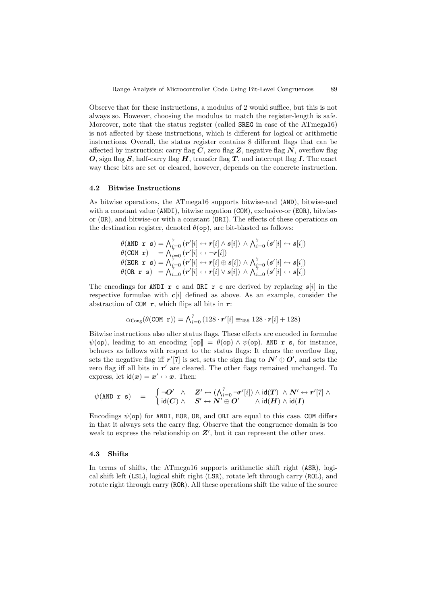Observe that for these instructions, a modulus of 2 would suffice, but this is not always so. However, choosing the modulus to match the register-length is safe. Moreover, note that the status register (called SREG in case of the ATmega16) is not affected by these instructions, which is different for logical or arithmetic instructions. Overall, the status register contains 8 different flags that can be affected by instructions: carry flag  $C$ , zero flag  $Z$ , negative flag  $N$ , overflow flag O, sign flag S, half-carry flag H, transfer flag T, and interrupt flag I. The exact way these bits are set or cleared, however, depends on the concrete instruction.

#### 4.2 Bitwise Instructions

As bitwise operations, the ATmega16 supports bitwise-and (AND), bitwise-and with a constant value (ANDI), bitwise negation (COM), exclusive-or (EOR), bitwiseor (OR), and bitwise-or with a constant (ORI). The effects of these operations on the destination register, denoted  $\theta(\infty)$ , are bit-blasted as follows:

$$
\begin{array}{ll}\n\theta(\text{AND} \ \mathbf{r} \ \mathbf{s}) = \bigwedge_{i=0}^{7} \left( \mathbf{r}'[i] \leftrightarrow \mathbf{r}[i] \land s[i] \right) \land \bigwedge_{i=0}^{7} \left( s'[i] \leftrightarrow s[i] \right) \\
\theta(\text{COM} \ \mathbf{r}) = \bigwedge_{i=0}^{7} \left( \mathbf{r}'[i] \leftrightarrow \neg \mathbf{r}[i] \right) \\
\theta(\text{EOR} \ \mathbf{r} \ \mathbf{s}) = \bigwedge_{i=0}^{7} \left( \mathbf{r}'[i] \leftrightarrow \mathbf{r}[i] \oplus s[i] \right) \land \bigwedge_{i=0}^{7} \left( s'[i] \leftrightarrow s[i] \right) \\
\theta(\text{OR} \ \mathbf{r} \ \mathbf{s}) = \bigwedge_{i=0}^{7} \left( \mathbf{r}'[i] \leftrightarrow \mathbf{r}[i] \lor s[i] \right) \land \bigwedge_{i=0}^{7} \left( s'[i] \leftrightarrow s[i] \right)\n\end{array}
$$

The encodings for ANDI r c and ORI r c are derived by replacing  $s[i]$  in the respective formulae with  $c[i]$  defined as above. As an example, consider the abstraction of COM r, which flips all bits in r:

$$
\alpha_{\text{Cong}}(\theta(\text{COM } r)) = \bigwedge_{i=0}^{7} (128 \cdot r'[i] \equiv_{256} 128 \cdot r[i] + 128)
$$

Bitwise instructions also alter status flags. These effects are encoded in formulae  $\psi$ (op), leading to an encoding  $\llbracket \text{op} \rrbracket = \theta$ (op)  $\wedge \psi$ (op). AND r s, for instance, behaves as follows with respect to the status flags: It clears the overflow flag, sets the negative flag iff  $r'[7]$  is set, sets the sign flag to  $N' \oplus O'$ , and sets the zero flag iff all bits in  $r'$  are cleared. The other flags remained unchanged. To express, let  $id(x) = x' \leftrightarrow x$ . Then:

$$
\psi(\text{AND} \; \; \mathbf{r} \; \; \mathbf{s}) \quad = \quad \left\{ \begin{matrix} \neg O' \quad \wedge \quad \mathbf{Z}' \leftrightarrow (\bigwedge_{i=0}^7 \neg r'[i]) \wedge \mathop{\mathrm{id}}(\mathbf{T}) \; \wedge \; \mathbf{N}' \leftrightarrow r'[7] \wedge \\ \mathop{\mathrm{id}}(\mathbf{C}) \; \wedge \quad \mathbf{S}' \leftrightarrow \mathbf{N}' \oplus \mathbf{O}' \qquad \wedge \mathop{\mathrm{id}}(\mathbf{H}) \wedge \mathop{\mathrm{id}}(\mathbf{I}) \end{matrix} \right. \right.
$$

Encodings  $\psi$ (op) for ANDI, EOR, OR, and ORI are equal to this case. COM differs in that it always sets the carry flag. Observe that the congruence domain is too weak to express the relationship on  $Z'$ , but it can represent the other ones.

#### 4.3 Shifts

In terms of shifts, the ATmega16 supports arithmetic shift right (ASR), logical shift left (LSL), logical shift right (LSR), rotate left through carry (ROL), and rotate right through carry (ROR). All these operations shift the value of the source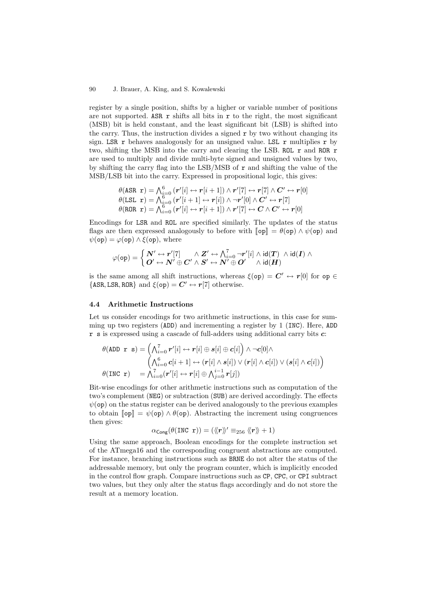register by a single position, shifts by a higher or variable number of positions are not supported. ASR  $\bf{r}$  shifts all bits in  $\bf{r}$  to the right, the most significant (MSB) bit is held constant, and the least significant bit (LSB) is shifted into the carry. Thus, the instruction divides a signed  $\mathbf r$  by two without changing its sign. LSR r behaves analogously for an unsigned value. LSL r multiplies r by two, shifting the MSB into the carry and clearing the LSB. ROL r and ROR r are used to multiply and divide multi-byte signed and unsigned values by two, by shifting the carry flag into the LSB/MSB of  $\bf{r}$  and shifting the value of the MSB/LSB bit into the carry. Expressed in propositional logic, this gives:

$$
\theta(\text{ASR } \mathbf{r}) = \bigwedge_{i=0}^{6} (r'[i] \leftrightarrow r[i+1]) \wedge r'[7] \leftrightarrow r[7] \wedge C' \leftrightarrow r[0] \n\theta(\text{LSL } \mathbf{r}) = \bigwedge_{i=0}^{6} (r'[i+1] \leftrightarrow r[i]) \wedge \neg r'[0] \wedge C' \leftrightarrow r[7] \n\theta(\text{ROR } \mathbf{r}) = \bigwedge_{i=0}^{6} (r'[i] \leftrightarrow r[i+1]) \wedge r'[7] \leftrightarrow C \wedge C' \leftrightarrow r[0]
$$

Encodings for LSR and ROL are specified similarly. The updates of the status flags are then expressed analogously to before with  $\llbracket op \rrbracket = \theta(op) \wedge \psi(op)$  and  $\psi$ (op) =  $\varphi$ (op)  $\wedge \xi$ (op), where

$$
\varphi(\text{op}) = \left\{ \begin{matrix} \boldsymbol{N}^{\prime} \leftrightarrow \boldsymbol{r}^{\prime}[7] & \wedge \boldsymbol{Z}^{\prime} \leftrightarrow \bigwedge_{i=0}^7 \neg \boldsymbol{r}^{\prime}[i] \wedge \text{id}(\boldsymbol{T}) \ \wedge \text{id}(\boldsymbol{I}) \wedge \\ \boldsymbol{O}^{\prime} \leftrightarrow \boldsymbol{N}^{\prime} \oplus \boldsymbol{C}^{\prime} \wedge \boldsymbol{S}^{\prime} \leftrightarrow \boldsymbol{N}^{\prime} \oplus \boldsymbol{O}^{\prime} & \wedge \text{id}(\boldsymbol{H}) \end{matrix} \right.
$$

is the same among all shift instructions, whereas  $\xi$ (op) =  $C' \leftrightarrow r[0]$  for op  $\in$  $\{ASR,LSR,ROR\}$  and  $\xi(op) = C' \leftrightarrow r[7]$  otherwise.

## 4.4 Arithmetic Instructions

Let us consider encodings for two arithmetic instructions, in this case for summing up two registers (ADD) and incrementing a register by 1 (INC). Here, ADD r s is expressed using a cascade of full-adders using additional carry bits c:

$$
\theta(\text{ADD } \mathbf{r} \mathbf{s}) = \begin{pmatrix} \bigwedge_{i=0}^{7} \mathbf{r}'[i] \leftrightarrow \mathbf{r}[i] \oplus \mathbf{s}[i] \oplus \mathbf{c}[i] \end{pmatrix} \wedge \neg \mathbf{c}[0] \wedge \\ \begin{pmatrix} \bigwedge_{i=0}^{6} \mathbf{c}[i+1] \leftrightarrow (\mathbf{r}[i] \wedge \mathbf{s}[i]) \vee (\mathbf{r}[i] \wedge \mathbf{c}[i]) \vee (\mathbf{s}[i] \wedge \mathbf{c}[i]) \end{pmatrix} \\ \theta(\text{INC } \mathbf{r}) = \bigwedge_{i=0}^{7} (\mathbf{r}'[i] \leftrightarrow \mathbf{r}[i] \oplus \bigwedge_{j=0}^{i-1} \mathbf{r}[j])
$$

Bit-wise encodings for other arithmetic instructions such as computation of the two's complement (NEG) or subtraction (SUB) are derived accordingly. The effects  $\psi$ (op) on the status register can be derived analogously to the previous examples to obtain  $\llbracket \mathsf{op} \rrbracket = \psi(\mathsf{op}) \wedge \theta(\mathsf{op})$ . Abstracting the increment using congruences then gives:

$$
\alpha_{\mathsf{Cong}}(\theta(\texttt{INC} \ \mathbf{r})) = (\langle\!\langle \mathbf{r} \rangle\!\rangle' \equiv_{256} \langle\!\langle \mathbf{r} \rangle\!\rangle + 1)
$$

Using the same approach, Boolean encodings for the complete instruction set of the ATmega16 and the corresponding congruent abstractions are computed. For instance, branching instructions such as BRNE do not alter the status of the addressable memory, but only the program counter, which is implicitly encoded in the control flow graph. Compare instructions such as CP, CPC, or CPI subtract two values, but they only alter the status flags accordingly and do not store the result at a memory location.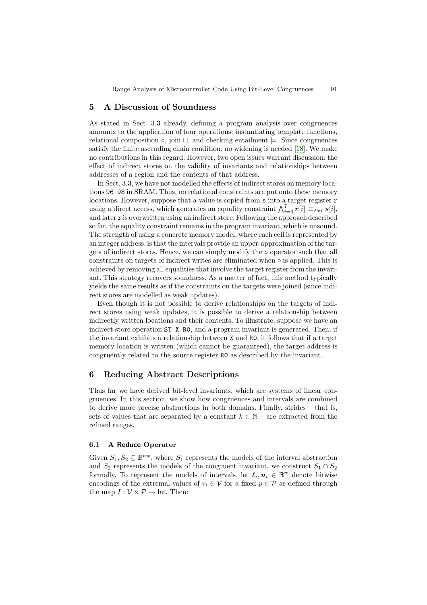# 5 A Discussion of Soundness

As stated in Sect. 3.3 already, defining a program analysis over congruences amounts to the application of four operations: instantiating template functions, relational composition  $\circ$ , join  $\sqcup$ , and checking entailment  $\models$ . Since congruences satisfy the finite ascending chain condition, no widening is needed [\[18\]](#page-16-1). We make no contributions in this regard. However, two open issues warrant discussion: the effect of indirect stores on the validity of invariants and relationships between addresses of a region and the contents of that address.

In Sect. 3.3, we have not modelled the effects of indirect stores on memory locations 96–98 in SRAM. Thus, no relational constraints are put onto these memory locations. However, suppose that a value is copied from s into a target register **r** using a direct access, which generates an equality constraint  $\bigwedge_{i=0}^{7} r[i] \equiv_{256} s[i],$ and later r is overwritten using an indirect store. Following the approach described so far, the equality constraint remains in the program invariant, which is unsound. The strength of using a concrete memory model, where each cell is represented by an integer address, is that the intervals provide an upper-approximation of the targets of indirect stores. Hence, we can simply modify the ○ operator such that all constraints on targets of indirect writes are eliminated when ◦ is applied. This is achieved by removing all equalities that involve the target register from the invariant. This strategy recovers soundness. As a matter of fact, this method typically yields the same results as if the constraints on the targets were joined (since indirect stores are modelled as weak updates).

Even though it is not possible to derive relationships on the targets of indirect stores using weak updates, it is possible to derive a relationship between indirectly written locations and their contents. To illustrate, suppose we have an indirect store operation ST X R0, and a program invariant is generated. Then, if the invariant exhibits a relationship between X and R0, it follows that if a target memory location is written (which cannot be guaranteed), the target address is congruently related to the source register R0 as described by the invariant.

# <span id="page-9-0"></span>6 Reducing Abstract Descriptions

Thus far we have derived bit-level invariants, which are systems of linear congruences. In this section, we show how congruences and intervals are combined to derive more precise abstractions in both domains. Finally, strides – that is, sets of values that are separated by a constant  $k \in \mathbb{N}$  – are extracted from the refined ranges.

## 6.1 A Reduce Operator

Given  $S_1, S_2 \subseteq \mathbb{B}^{nw}$ , where  $S_1$  represents the models of the interval abstraction and  $S_2$  represents the models of the congruent invariant, we construct  $S_1 \cap S_2$ formally. To represent the models of intervals, let  $\ell_i, u_i \in \mathbb{B}^w$  denote bitwise encodings of the extremal values of  $v_i \in \mathcal{V}$  for a fixed  $p \in \mathcal{P}$  as defined through the map  $I: \mathcal{V} \times \mathcal{P} \rightarrow \mathsf{Int}.$  Then: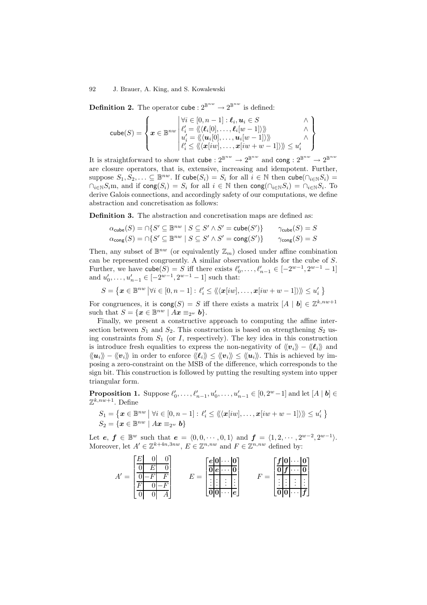**Definition 2.** The operator cube :  $2^{\mathbb{B}^{nw}} \to 2^{\mathbb{B}^{nw}}$  is defined:

$$
\textsf{cube}(S) = \left\{\boldsymbol{x} \in \mathbb{B}^{nw} \left| \begin{matrix} \forall i \in [0,n-1] : \ell_i, \boldsymbol{u}_i \in S & \wedge \\ \ell'_i = \langle\!\langle \ell_i[0], \ldots, \ell_i[w-1] \rangle \rangle\!\rangle & \wedge \\ u'_i = \langle\!\langle \langle \boldsymbol{u}_i[0], \ldots, \boldsymbol{u}_i[w-1] \rangle \rangle\!\rangle & \wedge \\ \ell'_i \leq \langle\!\langle \langle \boldsymbol{x}[iw], \ldots, \boldsymbol{x}[iw+w-1] \rangle \rangle\!\rangle & \leq u'_i \end{matrix} \right\}
$$

It is straightforward to show that  $\mathsf{cube} : 2^{\mathbb{B}^{nw}} \to 2^{\mathbb{B}^{nw}}$  and  $\mathsf{cong} : 2^{\mathbb{B}^{nw}} \to 2^{\mathbb{B}^{nw}}$ are closure operators, that is, extensive, increasing and idempotent. Further, suppose  $S_1, S_2, \ldots \subseteq \mathbb{B}^{nw}$ . If  $\mathsf{cube}(S_i) = S_i$  for all  $i \in \mathbb{N}$  then  $\mathsf{cube}(\bigcap_{i \in \mathbb{N}} S_i) =$  $\cap_{i\in\mathbb{N}}S_i$ m, and if  $\text{cong}(S_i) = S_i$  for all  $i \in \mathbb{N}$  then  $\text{cong}(\cap_{i\in\mathbb{N}}S_i) = \cap_{i\in\mathbb{N}}S_i$ . To derive Galois connections, and accordingly safety of our computations, we define abstraction and concretisation as follows:

Definition 3. The abstraction and concretisation maps are defined as:

$$
\alpha_{\text{cube}}(S) = \cap \{ S' \subseteq \mathbb{B}^{nw} \mid S \subseteq S' \land S' = \text{cube}(S') \} \qquad \gamma_{\text{cube}}(S) = S
$$
  

$$
\alpha_{\text{cong}}(S) = \cap \{ S' \subseteq \mathbb{B}^{nw} \mid S \subseteq S' \land S' = \text{cong}(S') \} \qquad \gamma_{\text{cong}}(S) = S
$$

Then, any subset of  $\mathbb{B}^{nw}$  (or equivalently  $\mathbb{Z}_m$ ) closed under affine combination can be represented congruently. A similar observation holds for the cube of S. Further, we have  $\text{cube}(S) = S$  iff there exists  $\ell'_0, \ldots, \ell'_{n-1} \in [-2^{w-1}, 2^{w-1} - 1]$ and  $u'_0, \ldots, u'_{n-1} \in [-2^{w-1}, 2^{w-1} - 1]$  such that:

$$
S = \left\{ \boldsymbol{x} \in \mathbb{B}^{nw} \left| \forall i \in [0, n-1] : \ell_i' \leq \langle\!\langle \langle \boldsymbol{x}[iw], \ldots, \boldsymbol{x}[iw+w-1] \rangle\rangle\!\rangle \leq u_i' \right. \right\}
$$

For congruences, it is  $\text{cong}(S) = S$  iff there exists a matrix  $[A | b] \in \mathbb{Z}^{k,nw+1}$ such that  $S = \{x \in \mathbb{B}^{nw} \mid Ax \equiv_{2^w} b\}.$ 

Finally, we present a constructive approach to computing the affine intersection between  $S_1$  and  $S_2$ . This construction is based on strengthening  $S_2$  using constraints from  $S_1$  (or I, respectively). The key idea in this construction is introduce fresh equalities to express the non-negativity of  $\langle v_i \rangle - \langle \ell_i \rangle$  and  $\langle\langle u_i\rangle\rangle - \langle\langle v_i\rangle\rangle$  in order to enforce  $\langle\langle \ell_i\rangle\rangle \leq \langle\langle v_i\rangle\rangle \leq \langle\langle u_i\rangle\rangle$ . This is achieved by imposing a zero-constraint on the MSB of the difference, which corresponds to the sign bit. This construction is followed by putting the resulting system into upper triangular form.

**Proposition 1.** Suppose  $\ell'_0, \ldots, \ell'_{n-1}, u'_0, \ldots, u'_{n-1} \in [0, 2^w - 1]$  and let  $[A | b] \in \mathbb{Z}^k$  $\mathbb{Z}^{k,nw+1}$ . Define

$$
S_1 = \left\{ \boldsymbol{x} \in \mathbb{B}^{nw} \mid \forall i \in [0, n-1] : \ell'_i \leq \langle\langle \langle \boldsymbol{x}[iw], \ldots, \boldsymbol{x}[iw+w-1] \rangle\rangle\rangle \leq u'_i \right\}
$$
  

$$
S_2 = \left\{ \boldsymbol{x} \in \mathbb{B}^{nw} \mid A\boldsymbol{x} \equiv_{2^w} \boldsymbol{b} \right\}
$$

Let  $e, f \in \mathbb{B}^w$  such that  $e = \langle 0, 0, \cdots, 0, 1 \rangle$  and  $f = \langle 1, 2, \cdots, 2^{w-2}, 2^{w-1} \rangle$ . Moreover, let  $A' \in \mathbb{Z}^{k+4n,3nw}$ ,  $E \in \mathbb{Z}^{n,nw}$  and  $F \in \mathbb{Z}^{n,nw}$  defined by:

$$
A' = \begin{bmatrix} E & 0 & 0 \\ 0 & E & 0 \\ \hline 0 & -F & F \\ \hline F & 0 & -F \\ 0 & 0 & A \end{bmatrix} \qquad E = \begin{bmatrix} e & 0 & \cdots & 0 \\ 0 & e & \cdots & 0 \\ \vdots & \vdots & \vdots & \vdots \\ 0 & 0 & \cdots & e \end{bmatrix} \qquad F = \begin{bmatrix} f & 0 & \cdots & 0 \\ 0 & f & \cdots & 0 \\ \vdots & \vdots & \vdots & \vdots \\ 0 & 0 & \cdots & f \end{bmatrix}
$$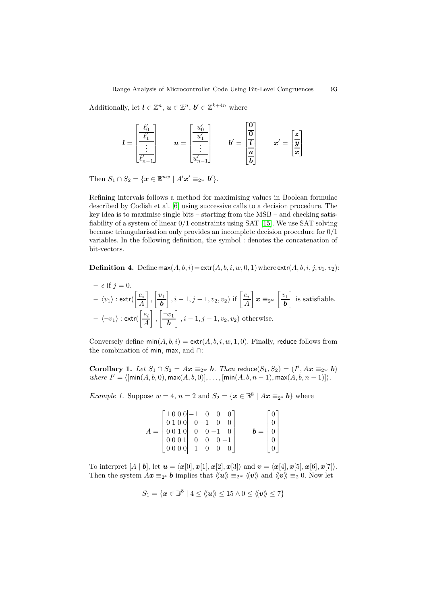Additionally, let  $\mathbf{l} \in \mathbb{Z}^n$ ,  $\mathbf{u} \in \mathbb{Z}^n$ ,  $\mathbf{b}' \in \mathbb{Z}^{k+4n}$  where

$$
l = \begin{bmatrix} \frac{\ell_0'}{\ell_1'} \\ \vdots \\ \frac{\ell_{n-1}'}{\ell_{n-1}'} \end{bmatrix} \qquad u = \begin{bmatrix} \frac{u_0'}{u_1'} \\ \vdots \\ \frac{u_{n-1}'}{u_{n-1}'} \end{bmatrix} \qquad b' = \begin{bmatrix} \frac{\mathbf{0}}{\mathbf{0}} \\ \frac{\mathbf{0}}{\mathbf{u}} \\ \frac{\mathbf{u}}{\mathbf{b}} \end{bmatrix} \qquad x' = \begin{bmatrix} \frac{\mathbf{z}}{\mathbf{y}} \\ \frac{\mathbf{z}}{\mathbf{z}} \end{bmatrix}
$$

Then  $S_1 \cap S_2 = \{ \mathbf{x} \in \mathbb{B}^{nw} \mid A' \mathbf{x}' \equiv_{2^w} \mathbf{b}' \}.$ 

Refining intervals follows a method for maximising values in Boolean formulae described by Codish et al. [\[6\]](#page-15-10) using successive calls to a decision procedure. The key idea is to maximise single bits – starting from the MSB – and checking satisfiability of a system of linear 0/1 constraints using SAT [\[15\]](#page-15-8). We use SAT solving because triangularisation only provides an incomplete decision procedure for 0/1 variables. In the following definition, the symbol : denotes the concatenation of bit-vectors.

**Definition 4.** Define  $\text{max}(A, b, i) = \text{extr}(A, b, i, w, 0, 1)$  where  $\text{extr}(A, b, i, j, v_1, v_2)$ :

- 
$$
\epsilon
$$
 if  $j = 0$ .  
\n-  $\langle v_1 \rangle$  :  $\text{extr}(\left[\frac{e_i}{A}\right], \left[\frac{v_1}{b}\right], i - 1, j - 1, v_2, v_2)$  if  $\left[\frac{e_i}{A}\right] x \equiv_{2^w} \left[\frac{v_1}{b}\right]$  is satisfiable.  
\n-  $\langle \neg v_1 \rangle$  :  $\text{extr}(\left[\frac{e_i}{A}\right], \left[\frac{\neg v_1}{b}\right], i - 1, j - 1, v_2, v_2)$  otherwise.

Conversely define  $\min(A, b, i) = \text{extr}(A, b, i, w, 1, 0)$ . Finally, reduce follows from the combination of min, max, and ∩:

Corollary 1. Let  $S_1 \cap S_2 = Ax \equiv_{2^w} b$ . Then reduce  $(S_1, S_2) = (I', Ax \equiv_{2^w} b)$ where  $I' = \langle [\min(A, b, 0), \max(A, b, 0)], \dots, [\min(A, b, n - 1), \max(A, b, n - 1)] \rangle$ .

*Example 1.* Suppose  $w = 4$ ,  $n = 2$  and  $S_2 = \{x \in \mathbb{B}^8 \mid Ax \equiv_{2^4} b\}$  where

|       | $\begin{bmatrix} 1 & 0 & 0 & 0 &   & -1 & 0 & 0 & 0 \\ 0 & 1 & 0 & 0 &   & 0 & -1 & 0 & 0 \end{bmatrix}$                                                                                                                                                                                                                       |  |  |                                                | $\vert 0 \vert$ |
|-------|--------------------------------------------------------------------------------------------------------------------------------------------------------------------------------------------------------------------------------------------------------------------------------------------------------------------------------|--|--|------------------------------------------------|-----------------|
|       |                                                                                                                                                                                                                                                                                                                                |  |  |                                                |                 |
| $A =$ |                                                                                                                                                                                                                                                                                                                                |  |  | $\mathbf{b} = \begin{bmatrix} 0 \end{bmatrix}$ |                 |
|       | $\begin{bmatrix} 0 & 0 & 1 & 0 & 0 & 0 & -1 & 0 \\ 0 & 0 & 0 & 1 & 0 & 0 & 0 & -1 \end{bmatrix}$                                                                                                                                                                                                                               |  |  |                                                |                 |
|       | $\begin{bmatrix} 0 & 0 & 0 & 0 \\ 1 & 0 & 0 & 0 \\ 0 & 0 & 0 & 0 \\ 0 & 0 & 0 & 0 \\ 0 & 0 & 0 & 0 \\ 0 & 0 & 0 & 0 \\ 0 & 0 & 0 & 0 \\ 0 & 0 & 0 & 0 \\ 0 & 0 & 0 & 0 \\ 0 & 0 & 0 & 0 \\ 0 & 0 & 0 & 0 \\ 0 & 0 & 0 & 0 & 0 \\ 0 & 0 & 0 & 0 & 0 \\ 0 & 0 & 0 & 0 & 0 \\ 0 & 0 & 0 & 0 & 0 & 0 \\ 0 & 0 & 0 & 0 & 0 & 0 \\ $ |  |  |                                                | $\overline{0}$  |

To interpret  $[A \mid b]$ , let  $\mathbf{u} = \langle \mathbf{x}[0], \mathbf{x}[1], \mathbf{x}[2], \mathbf{x}[3] \rangle$  and  $\mathbf{v} = \langle \mathbf{x}[4], \mathbf{x}[5], \mathbf{x}[6], \mathbf{x}[7] \rangle$ . Then the system  $Ax \equiv_{2^4} b$  implies that  $\langle\!\langle u \rangle\rangle \equiv_{2^w} \langle\!\langle v \rangle\rangle$  and  $\langle\!\langle v \rangle\rangle \equiv_2 0$ . Now let

$$
S_1 = \{ \boldsymbol{x} \in \mathbb{B}^8 \mid 4 \leq \langle \! \langle \boldsymbol{u} \rangle \! \rangle \leq 15 \land 0 \leq \langle \! \langle \boldsymbol{v} \rangle \! \rangle \leq 7 \}
$$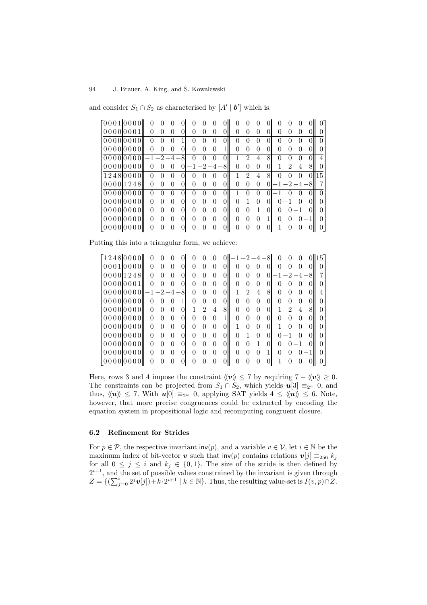| [00010000]                   |          |          |              |              |              |              |                                |                |              |          |            |              |                  |    |
|------------------------------|----------|----------|--------------|--------------|--------------|--------------|--------------------------------|----------------|--------------|----------|------------|--------------|------------------|----|
| 00000001                     | 0        | $\theta$ | $\mathbf{0}$ |              | $\mathbf{0}$ |              | $\mathbf{\Omega}$              |                | $\mathbf{0}$ | $^{(1)}$ |            | $\mathbf{0}$ | $\left( \right)$ |    |
| 00000000                     | $\Omega$ | $\Omega$ | $\Omega$     | $\mathbf{0}$ | $\Omega$     | $\mathbf{0}$ | O                              |                | $\Omega$     | 0        |            | $\theta$     | $\mathbf{0}$     |    |
| 00000000                     | $\Omega$ | $\Omega$ | $\theta$     |              | $\theta$     | 0            |                                |                | 0            | $^{(1)}$ |            | $\mathbf{0}$ | $\left( \right)$ |    |
| $0000000001 - 1 - 2 - 4 - 8$ |          |          |              | $\Omega$     | 0            | $\mathbf{0}$ |                                | $\mathfrak{D}$ | 4            | 8        | 0          | $\Omega$     | $\left( \right)$ |    |
| 000000000                    | $\theta$ | $\theta$ | $\Omega$     | $-1-2-4-8$   |              |              | 0                              |                | 0            |          |            | 2            | 4                |    |
| 12480000                     | $\Omega$ | $\theta$ | $\Omega$     |              | $\Omega$     | $\theta$     | $0 \mathbf{I} - 1 - 2 - 4 - 8$ |                |              |          | $\Omega$   | $\Omega$     |                  | 15 |
| 000001248                    | 0        | $\theta$ | $\Omega$     |              | $\theta$     | $\theta$     | 0                              | $\Omega$       | $\Omega$     | $\Omega$ | $-1-2-4-8$ |              |                  |    |
| 00000000                     | $\Omega$ |          | $^{(1)}$     |              |              |              |                                |                | 0            |          |            |              |                  |    |
| 00000000                     |          |          |              |              |              |              |                                |                | $\Omega$     |          |            |              |                  |    |
| 00000000                     |          |          |              |              |              |              |                                |                |              |          |            |              |                  |    |
| 00000000                     |          |          |              |              |              |              |                                |                |              |          |            |              |                  |    |
| 000000000                    |          |          |              |              |              |              |                                |                |              |          |            |              |                  |    |

and consider  $S_1 \cap S_2$  as characterised by  $[A' | b']$  which is:

Putting this into a triangular form, we achieve:

| [1248 0000]            |          | O            | $\cup$       |                  | O            |  | $-1-2-4-8$ |   |              |          |            | $\cup$       | $\cup$ | 15 |  |
|------------------------|----------|--------------|--------------|------------------|--------------|--|------------|---|--------------|----------|------------|--------------|--------|----|--|
| 00010000               | $\Omega$ |              | $\theta$     |                  |              |  |            |   | $\mathbf{0}$ |          |            |              |        |    |  |
| 00001248               | ∩        |              | $\Omega$     |                  |              |  |            |   | 0            |          | $-1-2-4-8$ |              |        |    |  |
| 00000001               | $\Omega$ |              |              |                  |              |  |            |   | 0            |          |            |              |        |    |  |
| $000000000$   -1-2-4-8 |          |              |              |                  | $\mathbf{0}$ |  |            | 9 | 4            | 8        |            |              |        |    |  |
| 00000000               | 0        | $\mathbf{0}$ | $\theta$     |                  | $\cup$       |  |            |   | $\theta$     | $^{(1)}$ |            | $^{(1)}$     |        |    |  |
| 00000000               | $\Omega$ |              | $\Omega$     | $-1 - 2 - 4 - 8$ |              |  |            |   | 0            | 0        |            | 2            | 4      |    |  |
| 00000000               | 0        |              | $\Omega$     |                  | $\mathbf{0}$ |  |            |   | 0            |          |            | $\mathbf{0}$ |        |    |  |
| 00000000               | $\Omega$ |              | $\mathbf{0}$ |                  | $\mathbf{0}$ |  |            |   | $\mathbf{0}$ |          |            |              |        |    |  |
| 00000000               |          |              | $\Omega$     |                  |              |  |            |   | $\Omega$     | $^{(1)}$ |            |              |        |    |  |
| 00000000               |          |              |              |                  |              |  |            |   |              |          |            |              |        |    |  |
| 00000000               |          |              | $\mathbf{0}$ |                  |              |  |            |   | 0            |          |            |              |        |    |  |
| 000000001              |          |              |              |                  |              |  |            |   |              |          |            |              |        |    |  |

Here, rows 3 and 4 impose the constraint  $\langle v \rangle \leq 7$  by requiring  $7 - \langle v \rangle \geq 0$ . The constraints can be projected from  $S_1 \cap S_2$ , which yields  $u[3] \equiv_{2^w} 0$ , and thus,  $\langle\!\langle \mathbf{u} \rangle\!\rangle \leq 7$ . With  $\mathbf{u}[0] \equiv_{2^w} 0$ , applying SAT yields  $4 \leq \langle\!\langle \mathbf{u} \rangle\!\rangle \leq 6$ . Note, however, that more precise congruences could be extracted by encoding the equation system in propositional logic and recomputing congruent closure.

## 6.2 Refinement for Strides

For  $p \in \mathcal{P}$ , the respective invariant inv(p), and a variable  $v \in \mathcal{V}$ , let  $i \in \mathbb{N}$  be the maximum index of bit-vector v such that  $inv(p)$  contains relations  $v[j] \equiv_{256} k_j$ for all  $0 \leq j \leq i$  and  $k_j \in \{0,1\}$ . The size of the stride is then defined by  $2^{i+1}$ , and the set of possible values constrained by the invariant is given through  $Z = \{(\sum_{j=0}^{i} 2^{j} \mathbf{v}[j]) + k \cdot 2^{i+1} \mid k \in \mathbb{N}\}\)$ . Thus, the resulting value-set is  $I(v, p) \cap Z$ .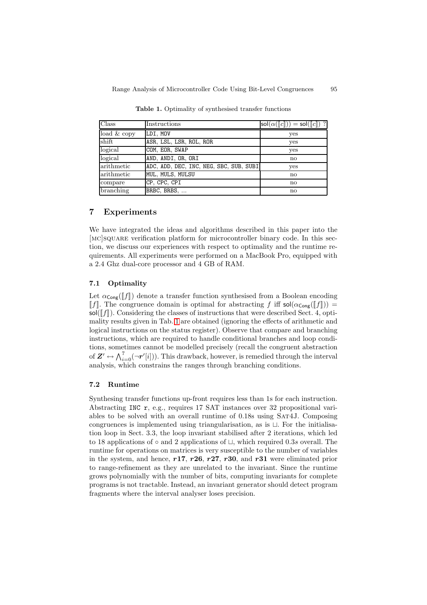| Class       | Instructions                            | $\mathsf{sol}(\alpha(\llbracket c \rrbracket)) = \mathsf{sol}(\llbracket c \rrbracket)$ ? |
|-------------|-----------------------------------------|-------------------------------------------------------------------------------------------|
| load & copy | LDI, MOV                                | yes                                                                                       |
| shift       | ASR, LSL, LSR, ROL, ROR                 | yes                                                                                       |
| logical     | COM, EOR, SWAP                          | yes                                                                                       |
| logical     | AND, ANDI, OR, ORI                      | $\mathbf{n}$                                                                              |
| arithmetic  | ADC, ADD, DEC, INC, NEG, SBC, SUB, SUBI | yes                                                                                       |
| arithmetic  | MUL, MULS, MULSU                        | $\mathbf{n}$                                                                              |
| compare     | CP, CPC, CPI                            | no                                                                                        |
| branching   | BRBC, BRBS,                             | $\mathbf{n}$                                                                              |

<span id="page-13-0"></span>Table 1. Optimality of synthesised transfer functions

## 7 Experiments

We have integrated the ideas and algorithms described in this paper into the [mc]square verification platform for microcontroller binary code. In this section, we discuss our experiences with respect to optimality and the runtime requirements. All experiments were performed on a MacBook Pro, equipped with a 2.4 Ghz dual-core processor and 4 GB of RAM.

#### 7.1 Optimality

Let  $\alpha_{\text{Cone}}(\llbracket f \rrbracket)$  denote a transfer function synthesised from a Boolean encoding |f|. The congruence domain is optimal for abstracting f iff  $\text{sol}(\alpha_{\text{Cong}}([f])) =$  $\text{sol}(\llbracket f \rrbracket)$ . Considering the classes of instructions that were described Sect. 4, optimality results given in Tab. [1](#page-13-0) are obtained (ignoring the effects of arithmetic and logical instructions on the status register). Observe that compare and branching instructions, which are required to handle conditional branches and loop conditions, sometimes cannot be modelled precisely (recall the congruent abstraction of  $\mathbf{Z}' \leftrightarrow \bigwedge_{i=0}^{7} (\neg \boldsymbol{r}'[i])$ . This drawback, however, is remedied through the interval analysis, which constrains the ranges through branching conditions.

## 7.2 Runtime

Synthesing transfer functions up-front requires less than 1s for each instruction. Abstracting INC r, e.g., requires 17 SAT instances over 32 propositional variables to be solved with an overall runtime of 0.18s using Sat4J. Composing congruences is implemented using triangularisation, as is  $\Box$ . For the initialisation loop in Sect. 3.3, the loop invariant stabilised after 2 iterations, which led to 18 applications of  $\circ$  and 2 applications of  $\sqcup$ , which required 0.3s overall. The runtime for operations on matrices is very susceptible to the number of variables in the system, and hence,  $r17$ ,  $r26$ ,  $r27$ ,  $r30$ , and  $r31$  were eliminated prior to range-refinement as they are unrelated to the invariant. Since the runtime grows polynomially with the number of bits, computing invariants for complete programs is not tractable. Instead, an invariant generator should detect program fragments where the interval analyser loses precision.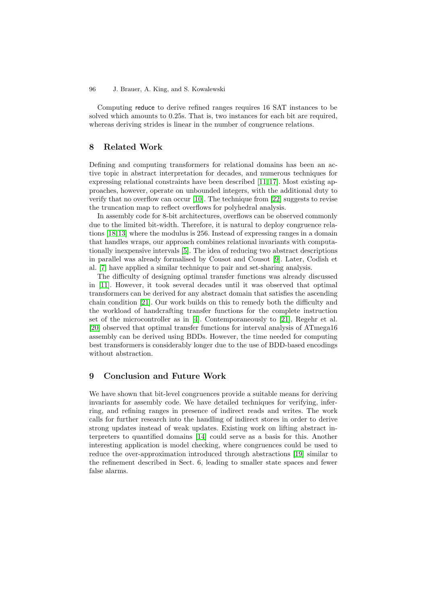Computing reduce to derive refined ranges requires 16 SAT instances to be solved which amounts to 0.25s. That is, two instances for each bit are required, whereas deriving strides is linear in the number of congruence relations.

# 8 Related Work

Defining and computing transformers for relational domains has been an active topic in abstract interpretation for decades, and numerous techniques for expressing relational constraints have been described [\[11,](#page-15-11) [17\]](#page-15-12). Most existing approaches, however, operate on unbounded integers, with the additional duty to verify that no overflow can occur [\[10\]](#page-15-13). The technique from [\[22\]](#page-16-3) suggests to revise the truncation map to reflect overflows for polyhedral analysis.

In assembly code for 8-bit architectures, overflows can be observed commonly due to the limited bit-width. Therefore, it is natural to deploy congruence relations [\[18,](#page-16-1)[13\]](#page-15-7) where the modulus is 256. Instead of expressing ranges in a domain that handles wraps, our approach combines relational invariants with computationally inexpensive intervals [\[5\]](#page-15-2). The idea of reducing two abstract descriptions in parallel was already formalised by Cousot and Cousot [\[9\]](#page-15-14). Later, Codish et al. [\[7\]](#page-15-15) have applied a similar technique to pair and set-sharing analysis.

The difficulty of designing optimal transfer functions was already discussed in [\[11\]](#page-15-11). However, it took several decades until it was observed that optimal transformers can be derived for any abstract domain that satisfies the ascending chain condition [\[21\]](#page-16-2). Our work builds on this to remedy both the difficulty and the workload of handcrafting transfer functions for the complete instruction set of the microcontroller as in [\[4\]](#page-15-16). Contemporaneously to [\[21\]](#page-16-2), Regehr et al. [\[20\]](#page-16-0) observed that optimal transfer functions for interval analysis of ATmega16 assembly can be derived using BDDs. However, the time needed for computing best transformers is considerably longer due to the use of BDD-based encodings without abstraction.

# 9 Conclusion and Future Work

We have shown that bit-level congruences provide a suitable means for deriving invariants for assembly code. We have detailed techniques for verifying, inferring, and refining ranges in presence of indirect reads and writes. The work calls for further research into the handling of indirect stores in order to derive strong updates instead of weak updates. Existing work on lifting abstract interpreters to quantified domains [\[14\]](#page-15-17) could serve as a basis for this. Another interesting application is model checking, where congruences could be used to reduce the over-approximation introduced through abstractions [\[19\]](#page-16-4) similar to the refinement described in Sect. 6, leading to smaller state spaces and fewer false alarms.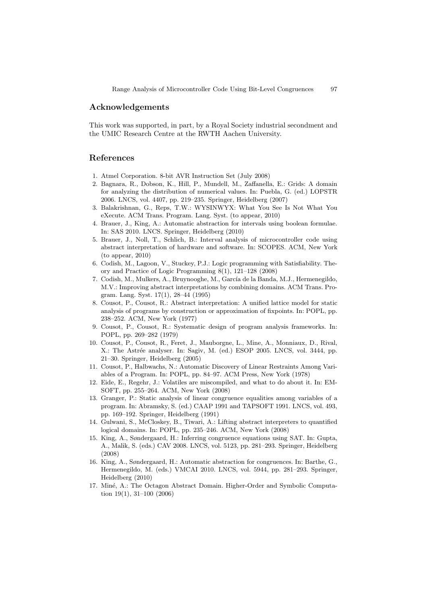## Acknowledgements

This work was supported, in part, by a Royal Society industrial secondment and the UMIC Research Centre at the RWTH Aachen University.

## <span id="page-15-3"></span>References

- <span id="page-15-6"></span><span id="page-15-0"></span>1. Atmel Corporation. 8-bit AVR Instruction Set (July 2008)
- 2. Bagnara, R., Dobson, K., Hill, P., Mundell, M., Zaffanella, E.: Grids: A domain for analyzing the distribution of numerical values. In: Puebla, G. (ed.) LOPSTR 2006. LNCS, vol. 4407, pp. 219–235. Springer, Heidelberg (2007)
- <span id="page-15-5"></span>3. Balakrishnan, G., Reps, T.W.: WYSINWYX: What You See Is Not What You eXecute. ACM Trans. Program. Lang. Syst. (to appear, 2010)
- <span id="page-15-16"></span>4. Brauer, J., King, A.: Automatic abstraction for intervals using boolean formulae. In: SAS 2010. LNCS. Springer, Heidelberg (2010)
- <span id="page-15-2"></span>5. Brauer, J., Noll, T., Schlich, B.: Interval analysis of microcontroller code using abstract interpretation of hardware and software. In: SCOPES. ACM, New York (to appear, 2010)
- <span id="page-15-10"></span>6. Codish, M., Lagoon, V., Stuckey, P.J.: Logic programming with Satisfiability. Theory and Practice of Logic Programming 8(1), 121–128 (2008)
- <span id="page-15-15"></span>7. Codish, M., Mulkers, A., Bruynooghe, M., García de la Banda, M.J., Hermenegildo, M.V.: Improving abstract interpretations by combining domains. ACM Trans. Program. Lang. Syst. 17(1), 28–44 (1995)
- <span id="page-15-4"></span>8. Cousot, P., Cousot, R.: Abstract interpretation: A unified lattice model for static analysis of programs by construction or approximation of fixpoints. In: POPL, pp. 238–252. ACM, New York (1977)
- <span id="page-15-14"></span>9. Cousot, P., Cousot, R.: Systematic design of program analysis frameworks. In: POPL, pp. 269–282 (1979)
- <span id="page-15-13"></span>10. Cousot, P., Cousot, R., Feret, J., Mauborgne, L., Mine, A., Monniaux, D., Rival, X.: The Astrée analyser. In: Sagiv, M. (ed.) ESOP 2005. LNCS, vol. 3444, pp. 21–30. Springer, Heidelberg (2005)
- <span id="page-15-11"></span>11. Cousot, P., Halbwachs, N.: Automatic Discovery of Linear Restraints Among Variables of a Program. In: POPL, pp. 84–97. ACM Press, New York (1978)
- <span id="page-15-1"></span>12. Eide, E., Regehr, J.: Volatiles are miscompiled, and what to do about it. In: EM-SOFT, pp. 255–264. ACM, New York (2008)
- <span id="page-15-7"></span>13. Granger, P.: Static analysis of linear congruence equalities among variables of a program. In: Abramsky, S. (ed.) CAAP 1991 and TAPSOFT 1991. LNCS, vol. 493, pp. 169–192. Springer, Heidelberg (1991)
- <span id="page-15-17"></span>14. Gulwani, S., McCloskey, B., Tiwari, A.: Lifting abstract interpreters to quantified logical domains. In: POPL, pp. 235–246. ACM, New York (2008)
- <span id="page-15-8"></span>15. King, A., Søndergaard, H.: Inferring congruence equations using SAT. In: Gupta, A., Malik, S. (eds.) CAV 2008. LNCS, vol. 5123, pp. 281–293. Springer, Heidelberg (2008)
- <span id="page-15-9"></span>16. King, A., Søndergaard, H.: Automatic abstraction for congruences. In: Barthe, G., Hermenegildo, M. (eds.) VMCAI 2010. LNCS, vol. 5944, pp. 281–293. Springer, Heidelberg (2010)
- <span id="page-15-12"></span>17. Miné, A.: The Octagon Abstract Domain. Higher-Order and Symbolic Computation 19(1), 31–100 (2006)